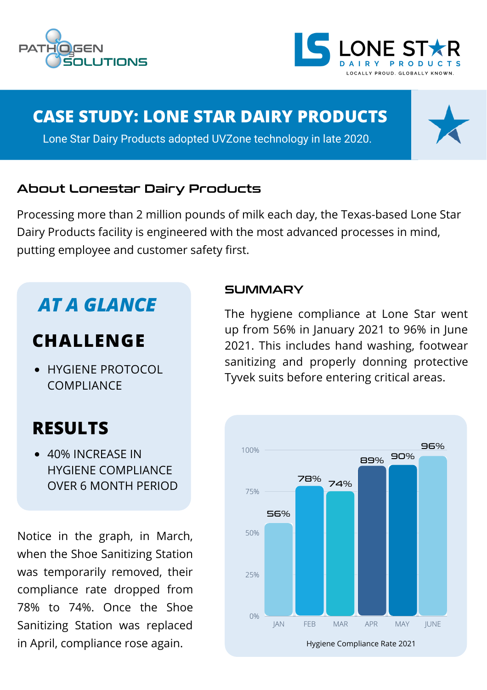



# **CASE STUDY: LONE STAR DAIRY PRODUCTS**

Lone Star Dairy Products adopted UVZone technology in late 2020.

#### **About Lonestar Dairy Products**

Processing more than 2 million pounds of milk each day, the Texas-based Lone Star Dairy Products facility is engineered with the most advanced processes in mind, putting employee and customer safety first.

# *AT A GLANCE*

## **CHALLENGE**

HYGIENE PROTOCOL COMPLIANCE

### **RESULTS**

40% INCREASE IN HYGIENE COMPLIANCE OVER 6 MONTH PERIOD

Notice in the graph, in March, when the Shoe Sanitizing Station was temporarily removed, their compliance rate dropped from 78% to 74%. Once the Shoe Sanitizing Station was replaced in April, compliance rose again.

#### **SUMMARY**

The hygiene compliance at Lone Star went up from 56% in January 2021 to 96% in June 2021. This includes hand washing, footwear sanitizing and properly donning protective Tyvek suits before entering critical areas.